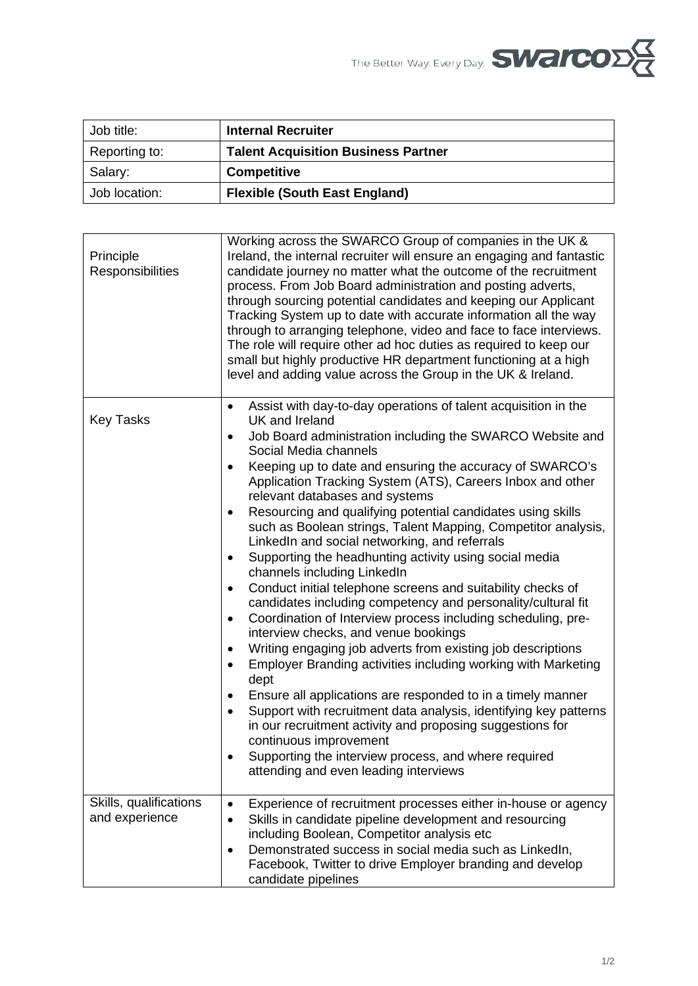The Better Way. Every Day. **SWAICOD** 

| Job title:    | <b>Internal Recruiter</b>                  |
|---------------|--------------------------------------------|
| Reporting to: | <b>Talent Acquisition Business Partner</b> |
| Salary:       | <b>Competitive</b>                         |
| Job location: | <b>Flexible (South East England)</b>       |

| Principle<br>Responsibilities            | Working across the SWARCO Group of companies in the UK &<br>Ireland, the internal recruiter will ensure an engaging and fantastic<br>candidate journey no matter what the outcome of the recruitment<br>process. From Job Board administration and posting adverts,<br>through sourcing potential candidates and keeping our Applicant<br>Tracking System up to date with accurate information all the way<br>through to arranging telephone, video and face to face interviews.<br>The role will require other ad hoc duties as required to keep our<br>small but highly productive HR department functioning at a high<br>level and adding value across the Group in the UK & Ireland.                                                                                                                                                                                                                                                                                                                                                                                                                                                                                                                                                                                                                                                                                                                  |
|------------------------------------------|-----------------------------------------------------------------------------------------------------------------------------------------------------------------------------------------------------------------------------------------------------------------------------------------------------------------------------------------------------------------------------------------------------------------------------------------------------------------------------------------------------------------------------------------------------------------------------------------------------------------------------------------------------------------------------------------------------------------------------------------------------------------------------------------------------------------------------------------------------------------------------------------------------------------------------------------------------------------------------------------------------------------------------------------------------------------------------------------------------------------------------------------------------------------------------------------------------------------------------------------------------------------------------------------------------------------------------------------------------------------------------------------------------------|
| <b>Key Tasks</b>                         | Assist with day-to-day operations of talent acquisition in the<br>$\bullet$<br>UK and Ireland<br>Job Board administration including the SWARCO Website and<br>$\bullet$<br>Social Media channels<br>Keeping up to date and ensuring the accuracy of SWARCO's<br>Application Tracking System (ATS), Careers Inbox and other<br>relevant databases and systems<br>Resourcing and qualifying potential candidates using skills<br>$\bullet$<br>such as Boolean strings, Talent Mapping, Competitor analysis,<br>LinkedIn and social networking, and referrals<br>Supporting the headhunting activity using social media<br>$\bullet$<br>channels including LinkedIn<br>Conduct initial telephone screens and suitability checks of<br>٠<br>candidates including competency and personality/cultural fit<br>Coordination of Interview process including scheduling, pre-<br>$\bullet$<br>interview checks, and venue bookings<br>Writing engaging job adverts from existing job descriptions<br>Employer Branding activities including working with Marketing<br>dept<br>Ensure all applications are responded to in a timely manner<br>Support with recruitment data analysis, identifying key patterns<br>$\bullet$<br>in our recruitment activity and proposing suggestions for<br>continuous improvement<br>Supporting the interview process, and where required<br>attending and even leading interviews |
| Skills, qualifications<br>and experience | Experience of recruitment processes either in-house or agency<br>Skills in candidate pipeline development and resourcing<br>including Boolean, Competitor analysis etc<br>Demonstrated success in social media such as LinkedIn,<br>$\bullet$<br>Facebook, Twitter to drive Employer branding and develop<br>candidate pipelines                                                                                                                                                                                                                                                                                                                                                                                                                                                                                                                                                                                                                                                                                                                                                                                                                                                                                                                                                                                                                                                                          |